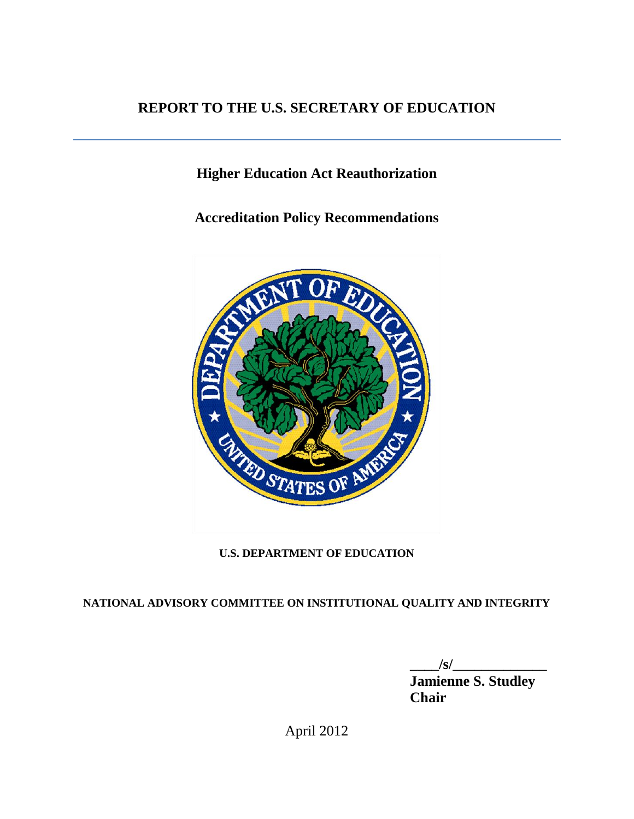# **REPORT TO THE U.S. SECRETARY OF EDUCATION**

# **Higher Education Act Reauthorization**

**Accreditation Policy Recommendations**



# **U.S. DEPARTMENT OF EDUCATION**

# **NATIONAL ADVISORY COMMITTEE ON INSTITUTIONAL QUALITY AND INTEGRITY**

**\_\_\_\_/s/\_\_\_\_\_\_\_\_\_\_\_\_\_**

**Jamienne S. Studley** *Chair* **Chair** 

April 2012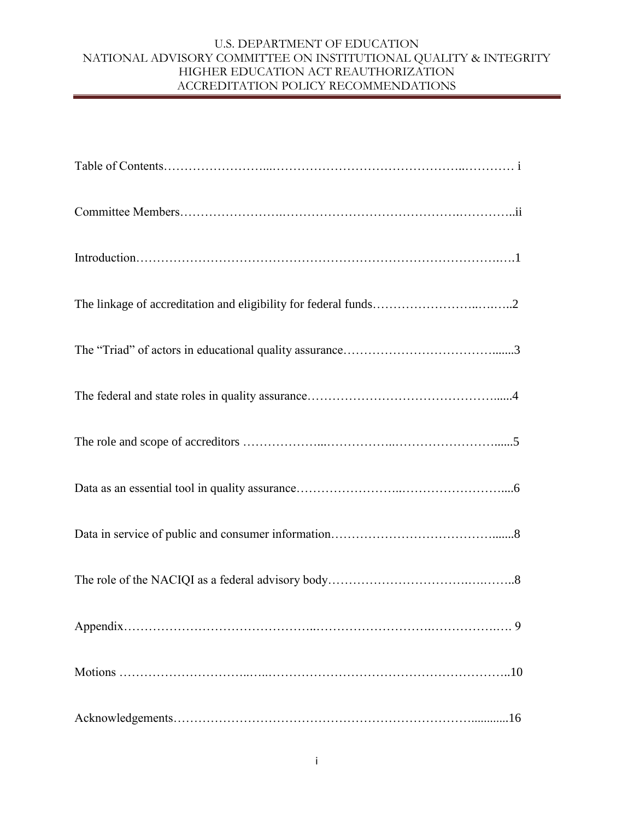| 9   |
|-----|
|     |
| .16 |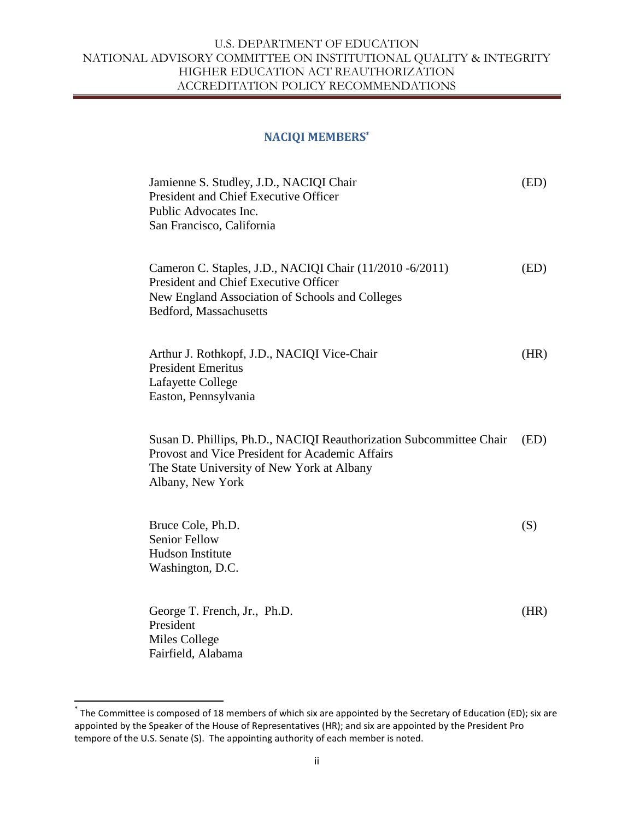#### **NACIQI MEMBERS\***

| Jamienne S. Studley, J.D., NACIQI Chair<br>President and Chief Executive Officer<br>Public Advocates Inc.<br>San Francisco, California                                                   | (ED) |
|------------------------------------------------------------------------------------------------------------------------------------------------------------------------------------------|------|
| Cameron C. Staples, J.D., NACIQI Chair (11/2010 -6/2011)<br>President and Chief Executive Officer<br>New England Association of Schools and Colleges<br>Bedford, Massachusetts           | (ED) |
| Arthur J. Rothkopf, J.D., NACIQI Vice-Chair<br><b>President Emeritus</b><br>Lafayette College<br>Easton, Pennsylvania                                                                    | (HR) |
| Susan D. Phillips, Ph.D., NACIQI Reauthorization Subcommittee Chair<br>Provost and Vice President for Academic Affairs<br>The State University of New York at Albany<br>Albany, New York | (ED) |
| Bruce Cole, Ph.D.<br><b>Senior Fellow</b><br>Hudson Institute<br>Washington, D.C.                                                                                                        | (S)  |
| George T. French, Jr., Ph.D.<br>President<br>Miles College<br>Fairfield, Alabama                                                                                                         | (HR) |

 \* The Committee is composed of 18 members of which six are appointed by the Secretary of Education (ED); six are appointed by the Speaker of the House of Representatives (HR); and six are appointed by the President Pro tempore of the U.S. Senate (S). The appointing authority of each member is noted.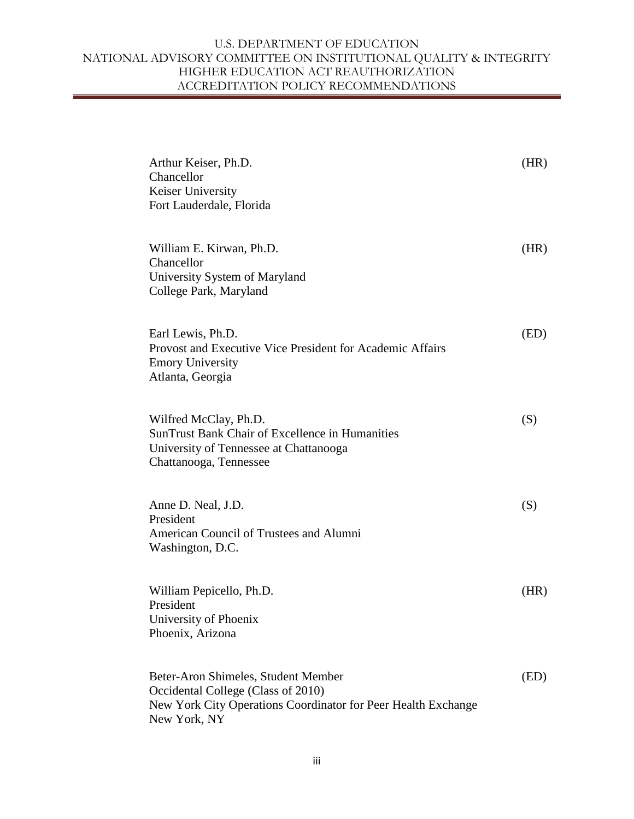| Arthur Keiser, Ph.D.<br>Chancellor<br>Keiser University<br>Fort Lauderdale, Florida                                                                        | (HR) |
|------------------------------------------------------------------------------------------------------------------------------------------------------------|------|
| William E. Kirwan, Ph.D.<br>Chancellor<br>University System of Maryland<br>College Park, Maryland                                                          | (HR) |
| Earl Lewis, Ph.D.<br>Provost and Executive Vice President for Academic Affairs<br><b>Emory University</b><br>Atlanta, Georgia                              | (ED) |
| Wilfred McClay, Ph.D.<br><b>SunTrust Bank Chair of Excellence in Humanities</b><br>University of Tennessee at Chattanooga<br>Chattanooga, Tennessee        | (S)  |
| Anne D. Neal, J.D.<br>President<br>American Council of Trustees and Alumni<br>Washington, D.C.                                                             | (S)  |
| William Pepicello, Ph.D.<br>President<br>University of Phoenix<br>Phoenix, Arizona                                                                         | (HR) |
| Beter-Aron Shimeles, Student Member<br>Occidental College (Class of 2010)<br>New York City Operations Coordinator for Peer Health Exchange<br>New York, NY | (ED) |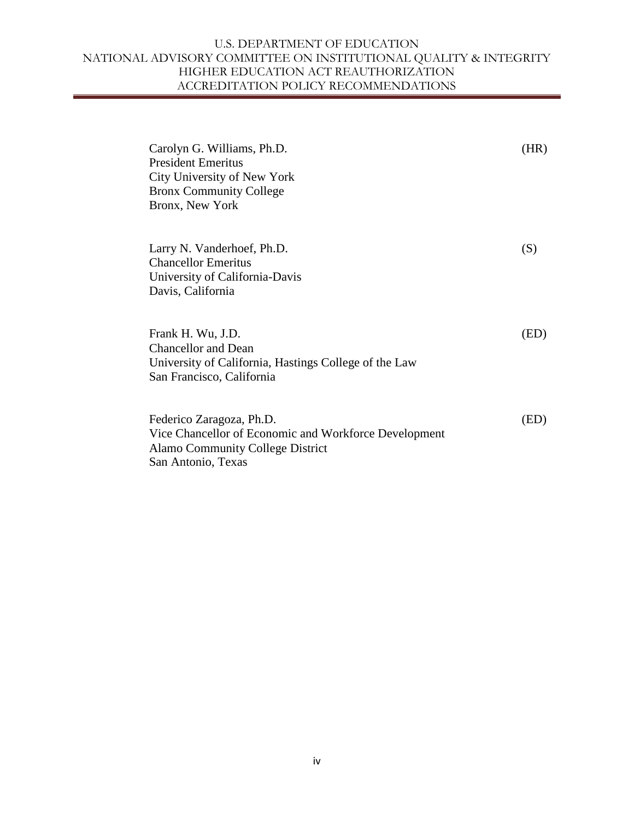| Carolyn G. Williams, Ph.D.<br><b>President Emeritus</b><br>City University of New York<br><b>Bronx Community College</b><br>Bronx, New York        | (HR) |
|----------------------------------------------------------------------------------------------------------------------------------------------------|------|
| Larry N. Vanderhoef, Ph.D.<br><b>Chancellor Emeritus</b><br>University of California-Davis<br>Davis, California                                    | (S)  |
| Frank H. Wu, J.D.<br><b>Chancellor and Dean</b><br>University of California, Hastings College of the Law<br>San Francisco, California              | (ED) |
| Federico Zaragoza, Ph.D.<br>Vice Chancellor of Economic and Workforce Development<br><b>Alamo Community College District</b><br>San Antonio, Texas | (ED) |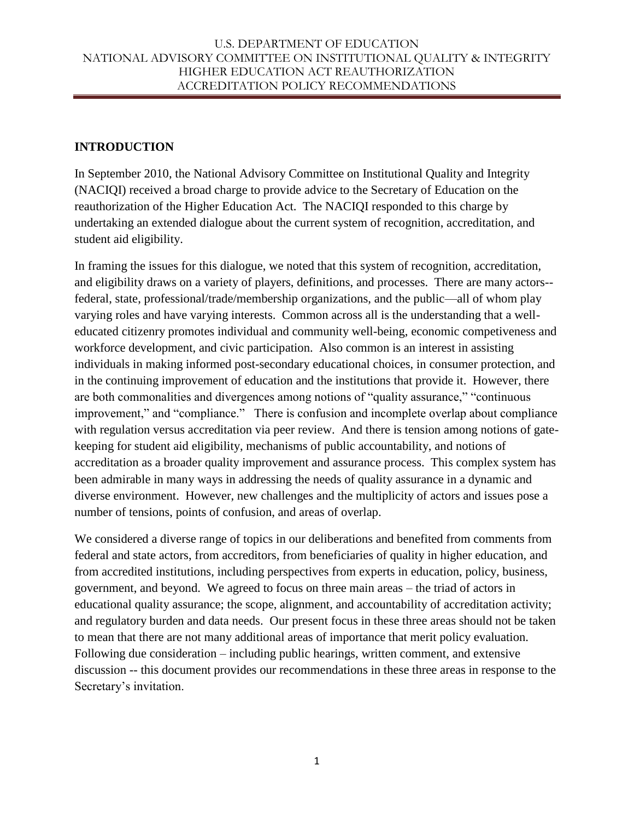# **INTRODUCTION**

In September 2010, the National Advisory Committee on Institutional Quality and Integrity (NACIQI) received a broad charge to provide advice to the Secretary of Education on the reauthorization of the Higher Education Act. The NACIQI responded to this charge by undertaking an extended dialogue about the current system of recognition, accreditation, and student aid eligibility.

In framing the issues for this dialogue, we noted that this system of recognition, accreditation, and eligibility draws on a variety of players, definitions, and processes. There are many actors- federal, state, professional/trade/membership organizations, and the public—all of whom play varying roles and have varying interests. Common across all is the understanding that a welleducated citizenry promotes individual and community well-being, economic competiveness and workforce development, and civic participation. Also common is an interest in assisting individuals in making informed post-secondary educational choices, in consumer protection, and in the continuing improvement of education and the institutions that provide it. However, there are both commonalities and divergences among notions of "quality assurance," "continuous improvement," and "compliance." There is confusion and incomplete overlap about compliance with regulation versus accreditation via peer review. And there is tension among notions of gatekeeping for student aid eligibility, mechanisms of public accountability, and notions of accreditation as a broader quality improvement and assurance process. This complex system has been admirable in many ways in addressing the needs of quality assurance in a dynamic and diverse environment. However, new challenges and the multiplicity of actors and issues pose a number of tensions, points of confusion, and areas of overlap.

We considered a diverse range of topics in our deliberations and benefited from comments from federal and state actors, from accreditors, from beneficiaries of quality in higher education, and from accredited institutions, including perspectives from experts in education, policy, business, government, and beyond. We agreed to focus on three main areas – the triad of actors in educational quality assurance; the scope, alignment, and accountability of accreditation activity; and regulatory burden and data needs. Our present focus in these three areas should not be taken to mean that there are not many additional areas of importance that merit policy evaluation. Following due consideration – including public hearings, written comment, and extensive discussion -- this document provides our recommendations in these three areas in response to the Secretary's invitation.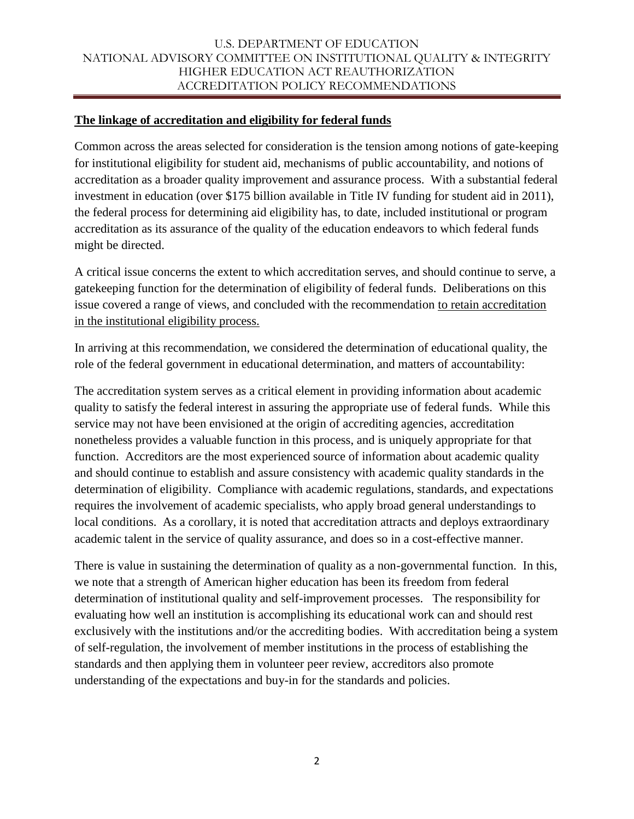## **The linkage of accreditation and eligibility for federal funds**

Common across the areas selected for consideration is the tension among notions of gate-keeping for institutional eligibility for student aid, mechanisms of public accountability, and notions of accreditation as a broader quality improvement and assurance process. With a substantial federal investment in education (over \$175 billion available in Title IV funding for student aid in 2011), the federal process for determining aid eligibility has, to date, included institutional or program accreditation as its assurance of the quality of the education endeavors to which federal funds might be directed.

A critical issue concerns the extent to which accreditation serves, and should continue to serve, a gatekeeping function for the determination of eligibility of federal funds. Deliberations on this issue covered a range of views, and concluded with the recommendation to retain accreditation in the institutional eligibility process.

In arriving at this recommendation, we considered the determination of educational quality, the role of the federal government in educational determination, and matters of accountability:

The accreditation system serves as a critical element in providing information about academic quality to satisfy the federal interest in assuring the appropriate use of federal funds. While this service may not have been envisioned at the origin of accrediting agencies, accreditation nonetheless provides a valuable function in this process, and is uniquely appropriate for that function. Accreditors are the most experienced source of information about academic quality and should continue to establish and assure consistency with academic quality standards in the determination of eligibility. Compliance with academic regulations, standards, and expectations requires the involvement of academic specialists, who apply broad general understandings to local conditions. As a corollary, it is noted that accreditation attracts and deploys extraordinary academic talent in the service of quality assurance, and does so in a cost-effective manner.

There is value in sustaining the determination of quality as a non-governmental function. In this, we note that a strength of American higher education has been its freedom from federal determination of institutional quality and self-improvement processes. The responsibility for evaluating how well an institution is accomplishing its educational work can and should rest exclusively with the institutions and/or the accrediting bodies. With accreditation being a system of self-regulation, the involvement of member institutions in the process of establishing the standards and then applying them in volunteer peer review, accreditors also promote understanding of the expectations and buy-in for the standards and policies.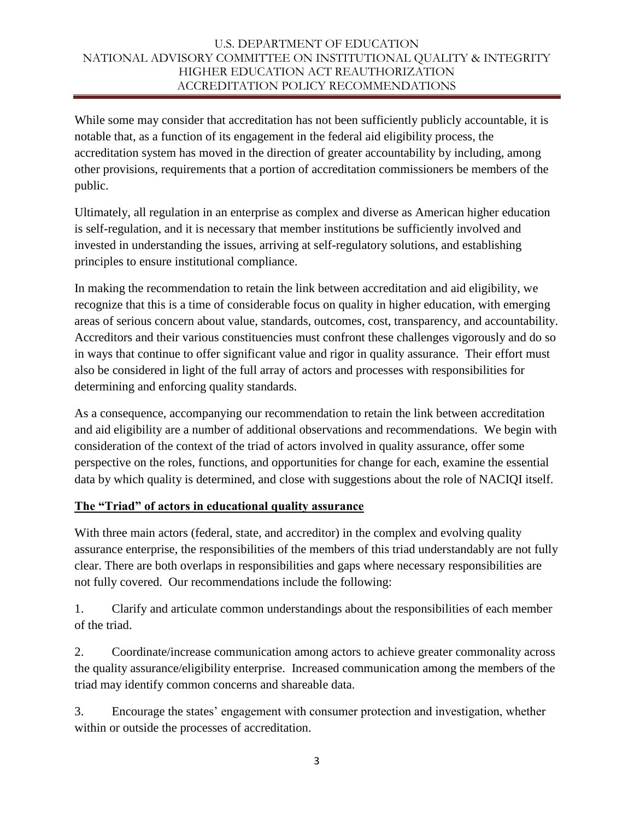While some may consider that accreditation has not been sufficiently publicly accountable, it is notable that, as a function of its engagement in the federal aid eligibility process, the accreditation system has moved in the direction of greater accountability by including, among other provisions, requirements that a portion of accreditation commissioners be members of the public.

Ultimately, all regulation in an enterprise as complex and diverse as American higher education is self-regulation, and it is necessary that member institutions be sufficiently involved and invested in understanding the issues, arriving at self-regulatory solutions, and establishing principles to ensure institutional compliance.

In making the recommendation to retain the link between accreditation and aid eligibility, we recognize that this is a time of considerable focus on quality in higher education, with emerging areas of serious concern about value, standards, outcomes, cost, transparency, and accountability. Accreditors and their various constituencies must confront these challenges vigorously and do so in ways that continue to offer significant value and rigor in quality assurance. Their effort must also be considered in light of the full array of actors and processes with responsibilities for determining and enforcing quality standards.

As a consequence, accompanying our recommendation to retain the link between accreditation and aid eligibility are a number of additional observations and recommendations. We begin with consideration of the context of the triad of actors involved in quality assurance, offer some perspective on the roles, functions, and opportunities for change for each, examine the essential data by which quality is determined, and close with suggestions about the role of NACIQI itself.

# **The "Triad" of actors in educational quality assurance**

With three main actors (federal, state, and accreditor) in the complex and evolving quality assurance enterprise, the responsibilities of the members of this triad understandably are not fully clear. There are both overlaps in responsibilities and gaps where necessary responsibilities are not fully covered. Our recommendations include the following:

1. Clarify and articulate common understandings about the responsibilities of each member of the triad.

2. Coordinate/increase communication among actors to achieve greater commonality across the quality assurance/eligibility enterprise. Increased communication among the members of the triad may identify common concerns and shareable data.

3. Encourage the states' engagement with consumer protection and investigation, whether within or outside the processes of accreditation.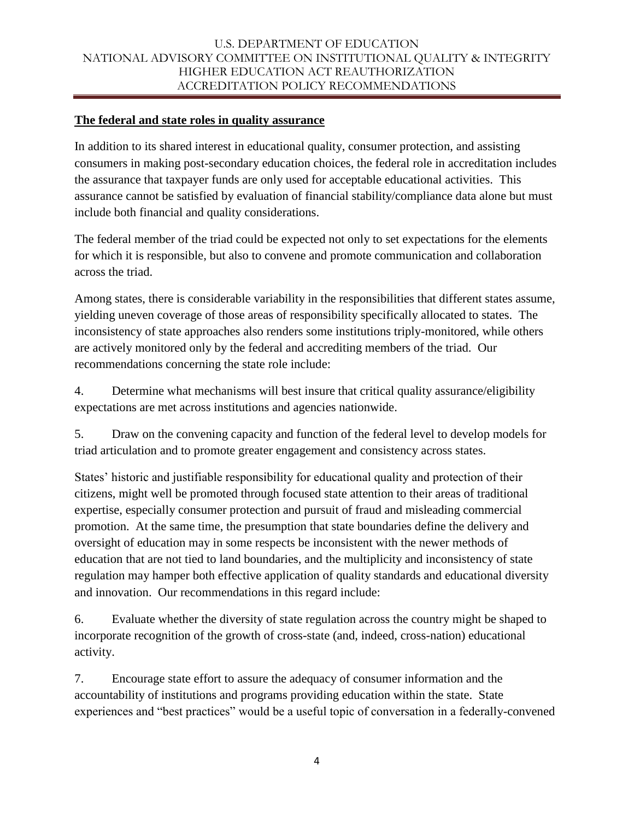## **The federal and state roles in quality assurance**

In addition to its shared interest in educational quality, consumer protection, and assisting consumers in making post-secondary education choices, the federal role in accreditation includes the assurance that taxpayer funds are only used for acceptable educational activities. This assurance cannot be satisfied by evaluation of financial stability/compliance data alone but must include both financial and quality considerations.

The federal member of the triad could be expected not only to set expectations for the elements for which it is responsible, but also to convene and promote communication and collaboration across the triad.

Among states, there is considerable variability in the responsibilities that different states assume, yielding uneven coverage of those areas of responsibility specifically allocated to states. The inconsistency of state approaches also renders some institutions triply-monitored, while others are actively monitored only by the federal and accrediting members of the triad. Our recommendations concerning the state role include:

4. Determine what mechanisms will best insure that critical quality assurance/eligibility expectations are met across institutions and agencies nationwide.

5. Draw on the convening capacity and function of the federal level to develop models for triad articulation and to promote greater engagement and consistency across states.

States' historic and justifiable responsibility for educational quality and protection of their citizens, might well be promoted through focused state attention to their areas of traditional expertise, especially consumer protection and pursuit of fraud and misleading commercial promotion. At the same time, the presumption that state boundaries define the delivery and oversight of education may in some respects be inconsistent with the newer methods of education that are not tied to land boundaries, and the multiplicity and inconsistency of state regulation may hamper both effective application of quality standards and educational diversity and innovation. Our recommendations in this regard include:

6. Evaluate whether the diversity of state regulation across the country might be shaped to incorporate recognition of the growth of cross-state (and, indeed, cross-nation) educational activity.

7. Encourage state effort to assure the adequacy of consumer information and the accountability of institutions and programs providing education within the state. State experiences and "best practices" would be a useful topic of conversation in a federally-convened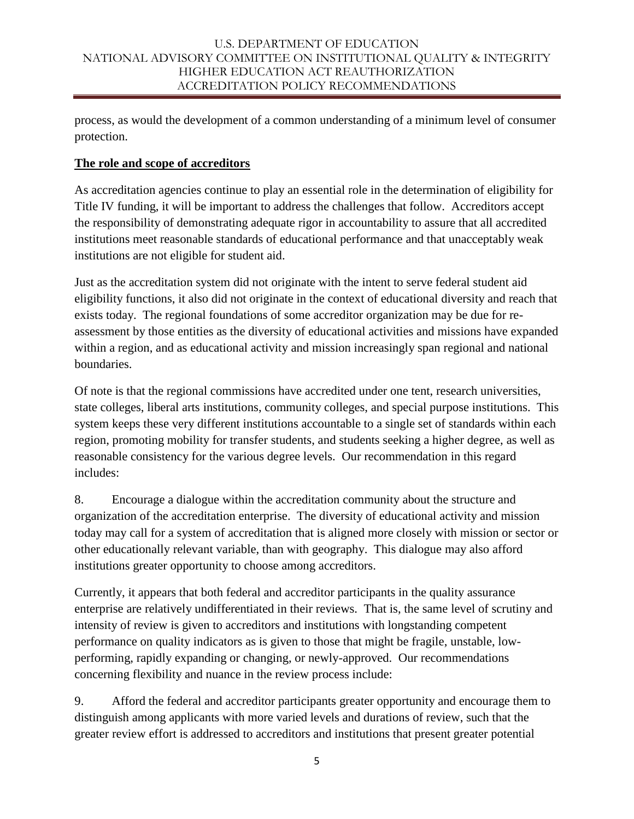process, as would the development of a common understanding of a minimum level of consumer protection.

## **The role and scope of accreditors**

As accreditation agencies continue to play an essential role in the determination of eligibility for Title IV funding, it will be important to address the challenges that follow. Accreditors accept the responsibility of demonstrating adequate rigor in accountability to assure that all accredited institutions meet reasonable standards of educational performance and that unacceptably weak institutions are not eligible for student aid.

Just as the accreditation system did not originate with the intent to serve federal student aid eligibility functions, it also did not originate in the context of educational diversity and reach that exists today. The regional foundations of some accreditor organization may be due for reassessment by those entities as the diversity of educational activities and missions have expanded within a region, and as educational activity and mission increasingly span regional and national boundaries.

Of note is that the regional commissions have accredited under one tent, research universities, state colleges, liberal arts institutions, community colleges, and special purpose institutions. This system keeps these very different institutions accountable to a single set of standards within each region, promoting mobility for transfer students, and students seeking a higher degree, as well as reasonable consistency for the various degree levels. Our recommendation in this regard includes:

8. Encourage a dialogue within the accreditation community about the structure and organization of the accreditation enterprise. The diversity of educational activity and mission today may call for a system of accreditation that is aligned more closely with mission or sector or other educationally relevant variable, than with geography. This dialogue may also afford institutions greater opportunity to choose among accreditors.

Currently, it appears that both federal and accreditor participants in the quality assurance enterprise are relatively undifferentiated in their reviews. That is, the same level of scrutiny and intensity of review is given to accreditors and institutions with longstanding competent performance on quality indicators as is given to those that might be fragile, unstable, lowperforming, rapidly expanding or changing, or newly-approved. Our recommendations concerning flexibility and nuance in the review process include:

9. Afford the federal and accreditor participants greater opportunity and encourage them to distinguish among applicants with more varied levels and durations of review, such that the greater review effort is addressed to accreditors and institutions that present greater potential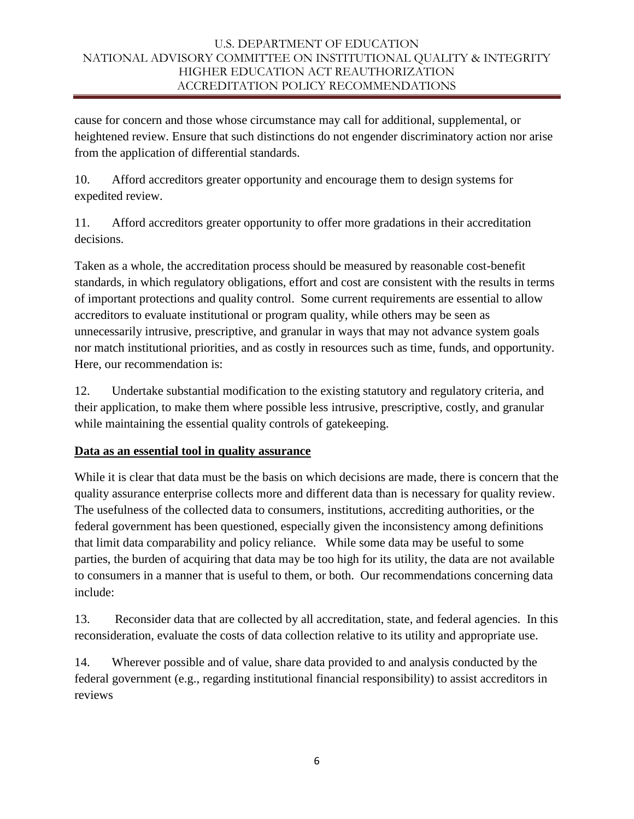cause for concern and those whose circumstance may call for additional, supplemental, or heightened review. Ensure that such distinctions do not engender discriminatory action nor arise from the application of differential standards.

10. Afford accreditors greater opportunity and encourage them to design systems for expedited review.

11. Afford accreditors greater opportunity to offer more gradations in their accreditation decisions.

Taken as a whole, the accreditation process should be measured by reasonable cost-benefit standards, in which regulatory obligations, effort and cost are consistent with the results in terms of important protections and quality control. Some current requirements are essential to allow accreditors to evaluate institutional or program quality, while others may be seen as unnecessarily intrusive, prescriptive, and granular in ways that may not advance system goals nor match institutional priorities, and as costly in resources such as time, funds, and opportunity. Here, our recommendation is:

12. Undertake substantial modification to the existing statutory and regulatory criteria, and their application, to make them where possible less intrusive, prescriptive, costly, and granular while maintaining the essential quality controls of gatekeeping.

# **Data as an essential tool in quality assurance**

While it is clear that data must be the basis on which decisions are made, there is concern that the quality assurance enterprise collects more and different data than is necessary for quality review. The usefulness of the collected data to consumers, institutions, accrediting authorities, or the federal government has been questioned, especially given the inconsistency among definitions that limit data comparability and policy reliance. While some data may be useful to some parties, the burden of acquiring that data may be too high for its utility, the data are not available to consumers in a manner that is useful to them, or both. Our recommendations concerning data include:

13. Reconsider data that are collected by all accreditation, state, and federal agencies. In this reconsideration, evaluate the costs of data collection relative to its utility and appropriate use.

14. Wherever possible and of value, share data provided to and analysis conducted by the federal government (e.g., regarding institutional financial responsibility) to assist accreditors in reviews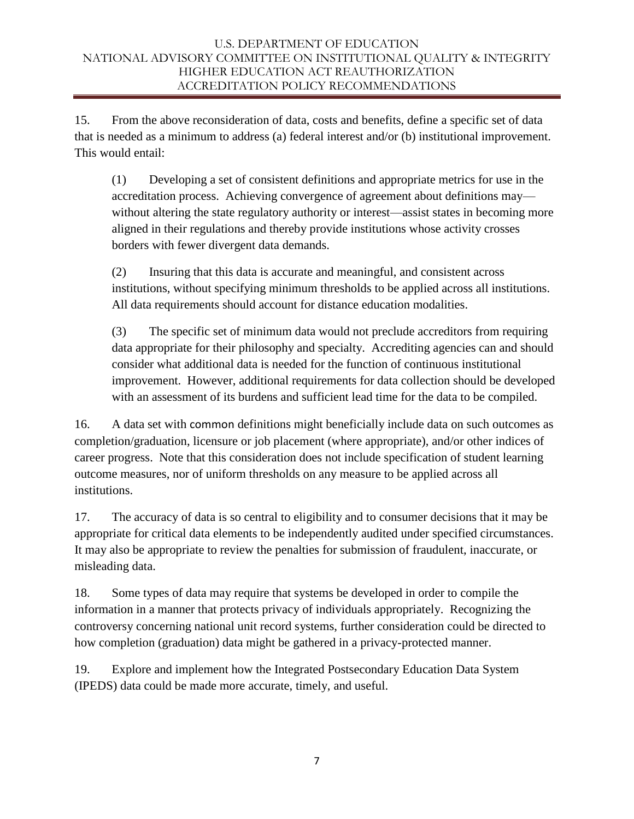15. From the above reconsideration of data, costs and benefits, define a specific set of data that is needed as a minimum to address (a) federal interest and/or (b) institutional improvement. This would entail:

(1) Developing a set of consistent definitions and appropriate metrics for use in the accreditation process. Achieving convergence of agreement about definitions may without altering the state regulatory authority or interest—assist states in becoming more aligned in their regulations and thereby provide institutions whose activity crosses borders with fewer divergent data demands.

(2) Insuring that this data is accurate and meaningful, and consistent across institutions, without specifying minimum thresholds to be applied across all institutions. All data requirements should account for distance education modalities.

(3) The specific set of minimum data would not preclude accreditors from requiring data appropriate for their philosophy and specialty. Accrediting agencies can and should consider what additional data is needed for the function of continuous institutional improvement. However, additional requirements for data collection should be developed with an assessment of its burdens and sufficient lead time for the data to be compiled.

16. A data set with common definitions might beneficially include data on such outcomes as completion/graduation, licensure or job placement (where appropriate), and/or other indices of career progress. Note that this consideration does not include specification of student learning outcome measures, nor of uniform thresholds on any measure to be applied across all institutions.

17. The accuracy of data is so central to eligibility and to consumer decisions that it may be appropriate for critical data elements to be independently audited under specified circumstances. It may also be appropriate to review the penalties for submission of fraudulent, inaccurate, or misleading data.

18. Some types of data may require that systems be developed in order to compile the information in a manner that protects privacy of individuals appropriately. Recognizing the controversy concerning national unit record systems, further consideration could be directed to how completion (graduation) data might be gathered in a privacy-protected manner.

19. Explore and implement how the Integrated Postsecondary Education Data System (IPEDS) data could be made more accurate, timely, and useful.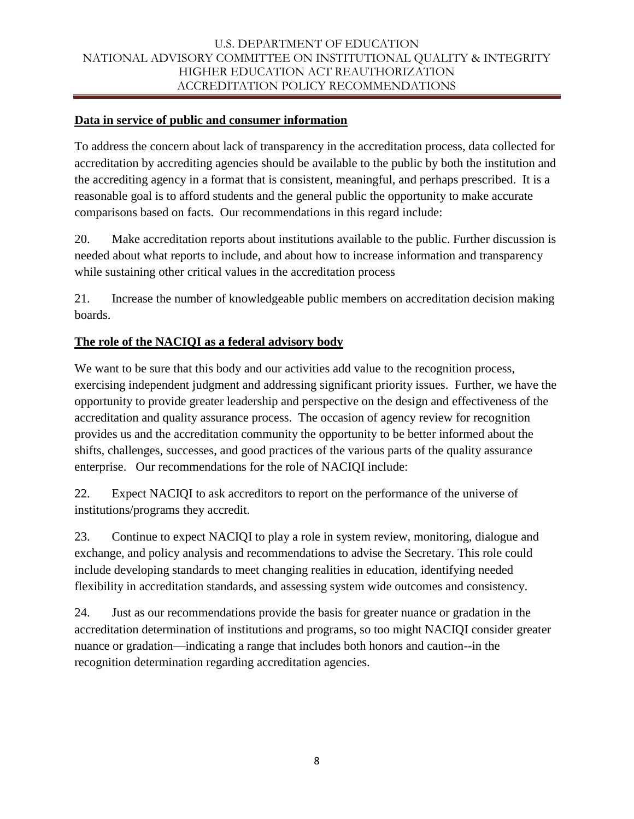# **Data in service of public and consumer information**

To address the concern about lack of transparency in the accreditation process, data collected for accreditation by accrediting agencies should be available to the public by both the institution and the accrediting agency in a format that is consistent, meaningful, and perhaps prescribed. It is a reasonable goal is to afford students and the general public the opportunity to make accurate comparisons based on facts. Our recommendations in this regard include:

20. Make accreditation reports about institutions available to the public. Further discussion is needed about what reports to include, and about how to increase information and transparency while sustaining other critical values in the accreditation process

21. Increase the number of knowledgeable public members on accreditation decision making boards.

## **The role of the NACIQI as a federal advisory body**

We want to be sure that this body and our activities add value to the recognition process, exercising independent judgment and addressing significant priority issues. Further, we have the opportunity to provide greater leadership and perspective on the design and effectiveness of the accreditation and quality assurance process. The occasion of agency review for recognition provides us and the accreditation community the opportunity to be better informed about the shifts, challenges, successes, and good practices of the various parts of the quality assurance enterprise. Our recommendations for the role of NACIQI include:

22. Expect NACIQI to ask accreditors to report on the performance of the universe of institutions/programs they accredit.

23. Continue to expect NACIQI to play a role in system review, monitoring, dialogue and exchange, and policy analysis and recommendations to advise the Secretary. This role could include developing standards to meet changing realities in education, identifying needed flexibility in accreditation standards, and assessing system wide outcomes and consistency.

24. Just as our recommendations provide the basis for greater nuance or gradation in the accreditation determination of institutions and programs, so too might NACIQI consider greater nuance or gradation—indicating a range that includes both honors and caution--in the recognition determination regarding accreditation agencies.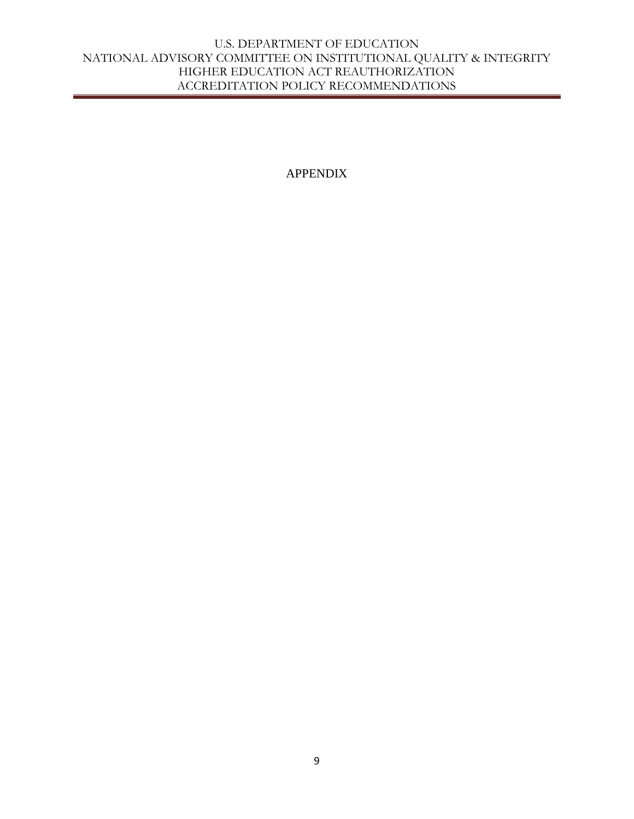APPENDIX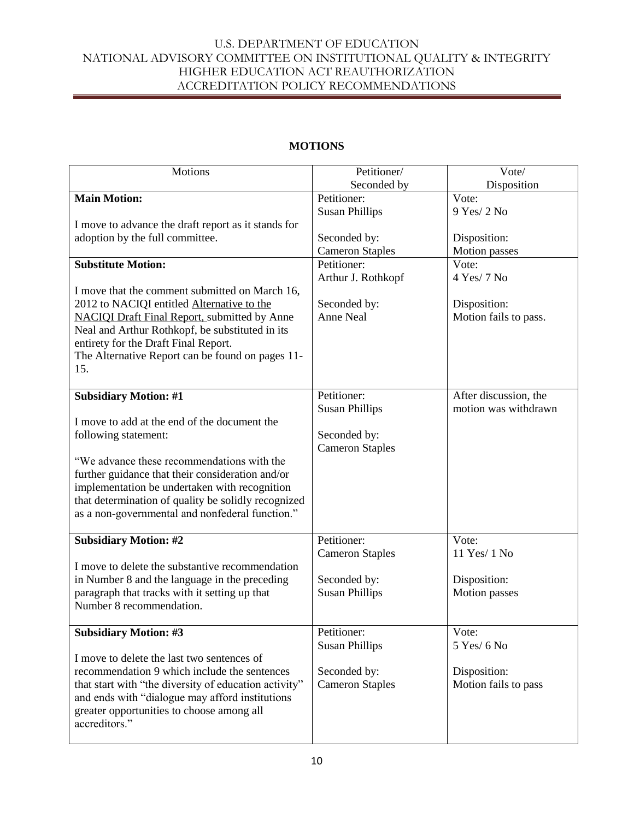| <b>Motions</b>                                        | Petitioner/            | Vote/                 |
|-------------------------------------------------------|------------------------|-----------------------|
|                                                       | Seconded by            | Disposition           |
| <b>Main Motion:</b>                                   | Petitioner:            | Vote:                 |
|                                                       | <b>Susan Phillips</b>  | 9 Yes/ 2 No           |
| I move to advance the draft report as it stands for   |                        |                       |
| adoption by the full committee.                       | Seconded by:           | Disposition:          |
|                                                       | <b>Cameron Staples</b> | Motion passes         |
| <b>Substitute Motion:</b>                             | Petitioner:            | Vote:                 |
|                                                       | Arthur J. Rothkopf     | 4 Yes/ 7 No           |
| I move that the comment submitted on March 16,        |                        |                       |
| 2012 to NACIQI entitled Alternative to the            | Seconded by:           | Disposition:          |
| <b>NACIQI Draft Final Report, submitted by Anne</b>   | <b>Anne Neal</b>       | Motion fails to pass. |
| Neal and Arthur Rothkopf, be substituted in its       |                        |                       |
| entirety for the Draft Final Report.                  |                        |                       |
| The Alternative Report can be found on pages 11-      |                        |                       |
| 15.                                                   |                        |                       |
|                                                       |                        |                       |
| <b>Subsidiary Motion: #1</b>                          | Petitioner:            | After discussion, the |
|                                                       | <b>Susan Phillips</b>  | motion was withdrawn  |
| I move to add at the end of the document the          |                        |                       |
| following statement:                                  | Seconded by:           |                       |
|                                                       | <b>Cameron Staples</b> |                       |
| "We advance these recommendations with the            |                        |                       |
| further guidance that their consideration and/or      |                        |                       |
| implementation be undertaken with recognition         |                        |                       |
| that determination of quality be solidly recognized   |                        |                       |
| as a non-governmental and nonfederal function."       |                        |                       |
|                                                       |                        |                       |
| <b>Subsidiary Motion: #2</b>                          | Petitioner:            | Vote:                 |
|                                                       | <b>Cameron Staples</b> | 11 Yes/ 1 No          |
| I move to delete the substantive recommendation       |                        |                       |
| in Number 8 and the language in the preceding         | Seconded by:           | Disposition:          |
| paragraph that tracks with it setting up that         | <b>Susan Phillips</b>  | Motion passes         |
| Number 8 recommendation.                              |                        |                       |
|                                                       |                        |                       |
| <b>Subsidiary Motion: #3</b>                          | Petitioner:            | Vote:                 |
|                                                       | <b>Susan Phillips</b>  | 5 Yes/ 6 No           |
| I move to delete the last two sentences of            |                        |                       |
| recommendation 9 which include the sentences          | Seconded by:           | Disposition:          |
| that start with "the diversity of education activity" | <b>Cameron Staples</b> | Motion fails to pass  |
| and ends with "dialogue may afford institutions       |                        |                       |
| greater opportunities to choose among all             |                        |                       |
| accreditors."                                         |                        |                       |
|                                                       |                        |                       |

# **MOTIONS**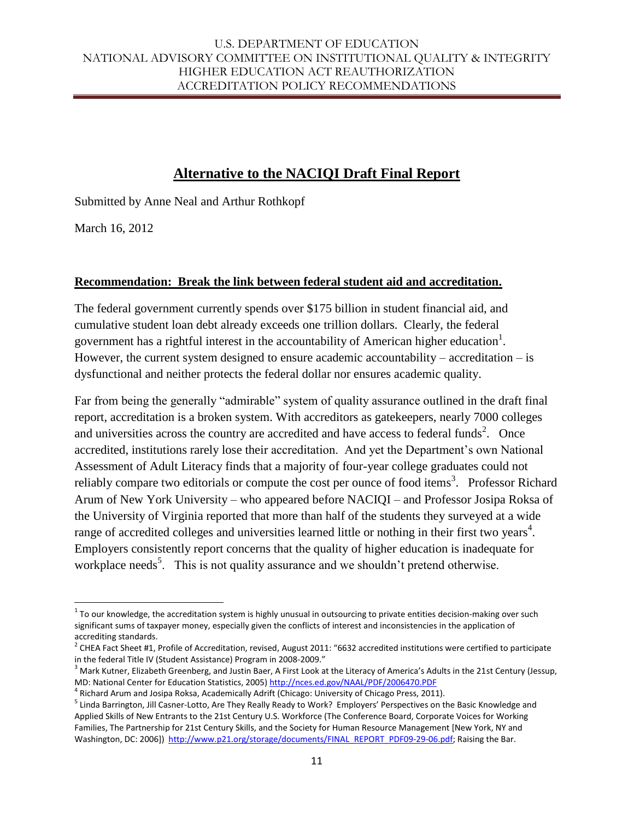# **Alternative to the NACIQI Draft Final Report**

Submitted by Anne Neal and Arthur Rothkopf

March 16, 2012

 $\overline{\phantom{a}}$ 

#### **Recommendation: Break the link between federal student aid and accreditation.**

The federal government currently spends over \$175 billion in student financial aid, and cumulative student loan debt already exceeds one trillion dollars. Clearly, the federal government has a rightful interest in the accountability of American higher education<sup>1</sup>. However, the current system designed to ensure academic accountability – accreditation – is dysfunctional and neither protects the federal dollar nor ensures academic quality.

Far from being the generally "admirable" system of quality assurance outlined in the draft final report, accreditation is a broken system. With accreditors as gatekeepers, nearly 7000 colleges and universities across the country are accredited and have access to federal funds<sup>2</sup>. Once accredited, institutions rarely lose their accreditation. And yet the Department's own National Assessment of Adult Literacy finds that a majority of four-year college graduates could not reliably compare two editorials or compute the cost per ounce of food items<sup>3</sup>. Professor Richard Arum of New York University – who appeared before NACIQI – and Professor Josipa Roksa of the University of Virginia reported that more than half of the students they surveyed at a wide range of accredited colleges and universities learned little or nothing in their first two years<sup>4</sup>. Employers consistently report concerns that the quality of higher education is inadequate for workplace needs<sup>5</sup>. This is not quality assurance and we shouldn't pretend otherwise.

 $^1$  To our knowledge, the accreditation system is highly unusual in outsourcing to private entities decision-making over such significant sums of taxpayer money, especially given the conflicts of interest and inconsistencies in the application of accrediting standards.

 $^2$  CHEA Fact Sheet #1, Profile of Accreditation, revised, August 2011: "6632 accredited institutions were certified to participate in the federal Title IV (Student Assistance) Program in 2008-2009."

<sup>&</sup>lt;sup>3</sup> Mark Kutner, Elizabeth Greenberg, and Justin Baer, A First Look at the Literacy of America's Adults in the 21st Century (Jessup, MD: National Center for Education Statistics, 2005[\) http://nces.ed.gov/NAAL/PDF/2006470.PDF](http://nces.ed.gov/NAAL/PDF/2006470.PDF)

<sup>&</sup>lt;sup>4</sup> Richard Arum and Josipa Roksa, Academically Adrift (Chicago: University of Chicago Press, 2011).

<sup>&</sup>lt;sup>5</sup> Linda Barrington, Jill Casner-Lotto, Are They Really Ready to Work? Employers' Perspectives on the Basic Knowledge and Applied Skills of New Entrants to the 21st Century U.S. Workforce (The Conference Board, Corporate Voices for Working Families, The Partnership for 21st Century Skills, and the Society for Human Resource Management [New York, NY and Washington, DC: 2006]) [http://www.p21.org/storage/documents/FINAL\\_REPORT\\_PDF09-29-06.pdf;](http://www.p21.org/storage/documents/FINAL_REPORT_PDF09-29-06.pdf) Raising the Bar.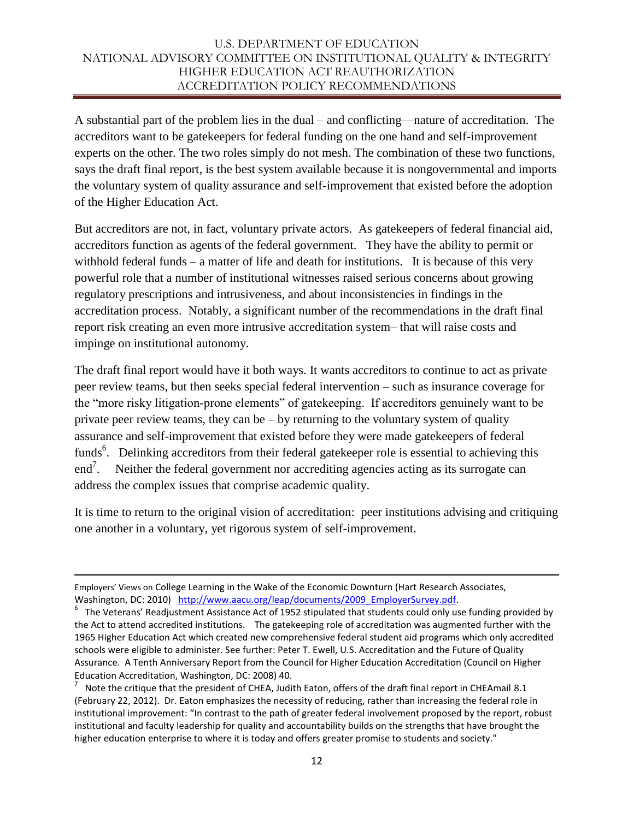A substantial part of the problem lies in the dual – and conflicting—nature of accreditation. The accreditors want to be gatekeepers for federal funding on the one hand and self-improvement experts on the other. The two roles simply do not mesh. The combination of these two functions, says the draft final report, is the best system available because it is nongovernmental and imports the voluntary system of quality assurance and self-improvement that existed before the adoption of the Higher Education Act.

But accreditors are not, in fact, voluntary private actors. As gatekeepers of federal financial aid, accreditors function as agents of the federal government. They have the ability to permit or withhold federal funds – a matter of life and death for institutions. It is because of this very powerful role that a number of institutional witnesses raised serious concerns about growing regulatory prescriptions and intrusiveness, and about inconsistencies in findings in the accreditation process. Notably, a significant number of the recommendations in the draft final report risk creating an even more intrusive accreditation system– that will raise costs and impinge on institutional autonomy.

The draft final report would have it both ways. It wants accreditors to continue to act as private peer review teams, but then seeks special federal intervention – such as insurance coverage for the "more risky litigation-prone elements" of gatekeeping. If accreditors genuinely want to be private peer review teams, they can be  $-$  by returning to the voluntary system of quality assurance and self-improvement that existed before they were made gatekeepers of federal funds<sup>6</sup>. Delinking accreditors from their federal gatekeeper role is essential to achieving this end<sup>7</sup>. Neither the federal government nor accrediting agencies acting as its surrogate can address the complex issues that comprise academic quality.

It is time to return to the original vision of accreditation: peer institutions advising and critiquing one another in a voluntary, yet rigorous system of self-improvement.

 $\overline{a}$ 

Employers' Views on College Learning in the Wake of the Economic Downturn (Hart Research Associates, Washington, DC: 2010) [http://www.aacu.org/leap/documents/2009\\_EmployerSurvey.pdf.](http://www.aacu.org/leap/documents/2009_EmployerSurvey.pdf)

 $^6$  The Veterans' Readjustment Assistance Act of 1952 stipulated that students could only use funding provided by the Act to attend accredited institutions. The gatekeeping role of accreditation was augmented further with the 1965 Higher Education Act which created new comprehensive federal student aid programs which only accredited schools were eligible to administer. See further: Peter T. Ewell, U.S. Accreditation and the Future of Quality Assurance. A Tenth Anniversary Report from the Council for Higher Education Accreditation (Council on Higher Education Accreditation, Washington, DC: 2008) 40.

 $^7$  Note the critique that the president of CHEA, Judith Eaton, offers of the draft final report in CHEAmail 8.1 (February 22, 2012). Dr. Eaton emphasizes the necessity of reducing, rather than increasing the federal role in institutional improvement: "In contrast to the path of greater federal involvement proposed by the report, robust institutional and faculty leadership for quality and accountability builds on the strengths that have brought the higher education enterprise to where it is today and offers greater promise to students and society."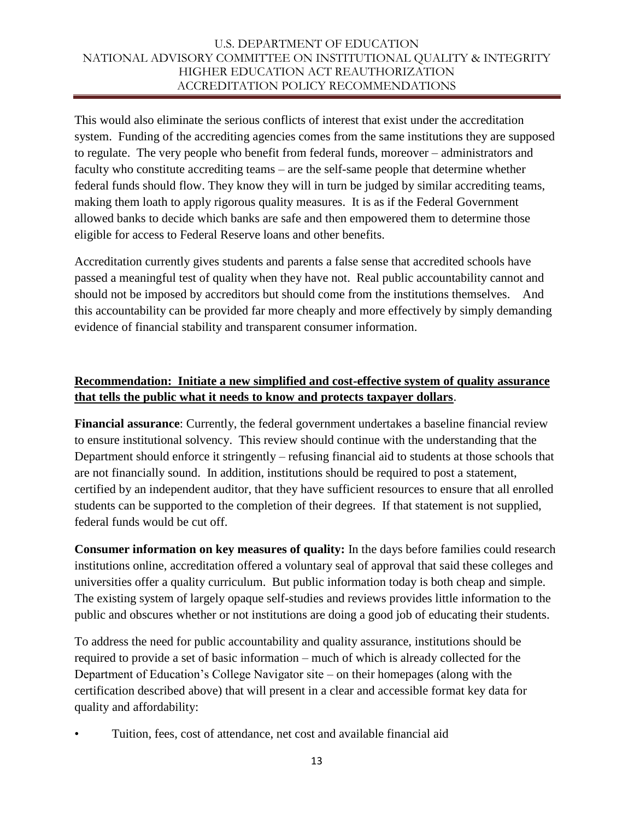This would also eliminate the serious conflicts of interest that exist under the accreditation system. Funding of the accrediting agencies comes from the same institutions they are supposed to regulate. The very people who benefit from federal funds, moreover – administrators and faculty who constitute accrediting teams – are the self-same people that determine whether federal funds should flow. They know they will in turn be judged by similar accrediting teams, making them loath to apply rigorous quality measures. It is as if the Federal Government allowed banks to decide which banks are safe and then empowered them to determine those eligible for access to Federal Reserve loans and other benefits.

Accreditation currently gives students and parents a false sense that accredited schools have passed a meaningful test of quality when they have not. Real public accountability cannot and should not be imposed by accreditors but should come from the institutions themselves. And this accountability can be provided far more cheaply and more effectively by simply demanding evidence of financial stability and transparent consumer information.

# **Recommendation: Initiate a new simplified and cost-effective system of quality assurance that tells the public what it needs to know and protects taxpayer dollars**.

**Financial assurance**: Currently, the federal government undertakes a baseline financial review to ensure institutional solvency. This review should continue with the understanding that the Department should enforce it stringently – refusing financial aid to students at those schools that are not financially sound. In addition, institutions should be required to post a statement, certified by an independent auditor, that they have sufficient resources to ensure that all enrolled students can be supported to the completion of their degrees. If that statement is not supplied, federal funds would be cut off.

**Consumer information on key measures of quality:** In the days before families could research institutions online, accreditation offered a voluntary seal of approval that said these colleges and universities offer a quality curriculum. But public information today is both cheap and simple. The existing system of largely opaque self-studies and reviews provides little information to the public and obscures whether or not institutions are doing a good job of educating their students.

To address the need for public accountability and quality assurance, institutions should be required to provide a set of basic information – much of which is already collected for the Department of Education's College Navigator site – on their homepages (along with the certification described above) that will present in a clear and accessible format key data for quality and affordability:

• Tuition, fees, cost of attendance, net cost and available financial aid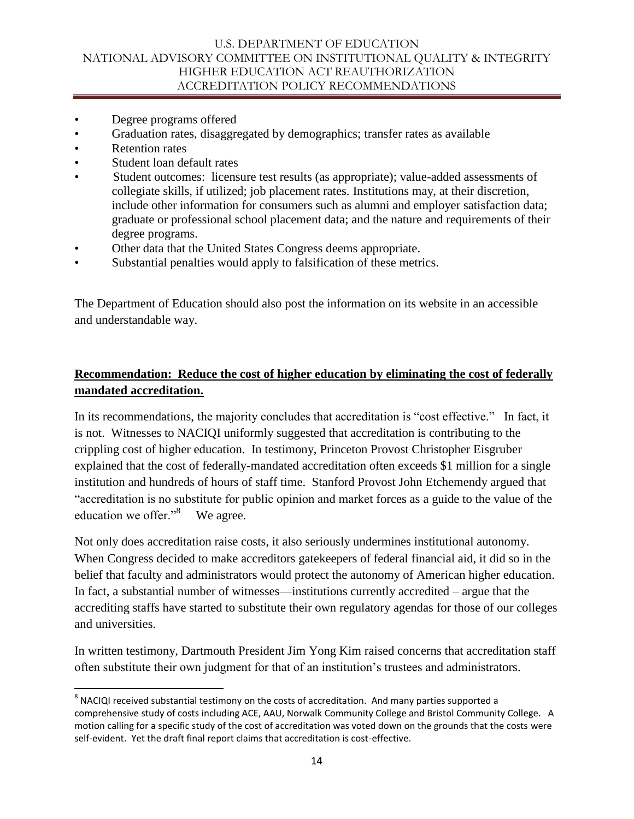- Degree programs offered
- Graduation rates, disaggregated by demographics; transfer rates as available
- Retention rates

 $\overline{a}$ 

- Student loan default rates
- Student outcomes: licensure test results (as appropriate); value-added assessments of collegiate skills, if utilized; job placement rates. Institutions may, at their discretion, include other information for consumers such as alumni and employer satisfaction data; graduate or professional school placement data; and the nature and requirements of their degree programs.
- Other data that the United States Congress deems appropriate.
- Substantial penalties would apply to falsification of these metrics.

The Department of Education should also post the information on its website in an accessible and understandable way.

# **Recommendation: Reduce the cost of higher education by eliminating the cost of federally mandated accreditation.**

In its recommendations, the majority concludes that accreditation is "cost effective." In fact, it is not. Witnesses to NACIQI uniformly suggested that accreditation is contributing to the crippling cost of higher education. In testimony, Princeton Provost Christopher Eisgruber explained that the cost of federally-mandated accreditation often exceeds \$1 million for a single institution and hundreds of hours of staff time. Stanford Provost John Etchemendy argued that "accreditation is no substitute for public opinion and market forces as a guide to the value of the education we offer." $8$  We agree.

Not only does accreditation raise costs, it also seriously undermines institutional autonomy. When Congress decided to make accreditors gatekeepers of federal financial aid, it did so in the belief that faculty and administrators would protect the autonomy of American higher education. In fact, a substantial number of witnesses—institutions currently accredited – argue that the accrediting staffs have started to substitute their own regulatory agendas for those of our colleges and universities.

In written testimony, Dartmouth President Jim Yong Kim raised concerns that accreditation staff often substitute their own judgment for that of an institution's trustees and administrators.

 $^8$  NACIQI received substantial testimony on the costs of accreditation. And many parties supported a comprehensive study of costs including ACE, AAU, Norwalk Community College and Bristol Community College. A motion calling for a specific study of the cost of accreditation was voted down on the grounds that the costs were self-evident. Yet the draft final report claims that accreditation is cost-effective.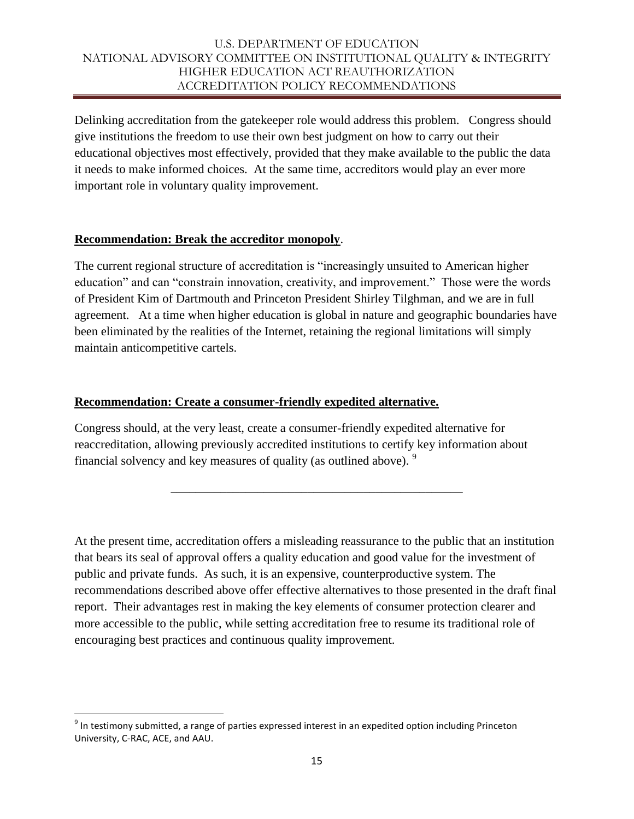Delinking accreditation from the gatekeeper role would address this problem. Congress should give institutions the freedom to use their own best judgment on how to carry out their educational objectives most effectively, provided that they make available to the public the data it needs to make informed choices. At the same time, accreditors would play an ever more important role in voluntary quality improvement.

#### **Recommendation: Break the accreditor monopoly**.

The current regional structure of accreditation is "increasingly unsuited to American higher education" and can "constrain innovation, creativity, and improvement." Those were the words of President Kim of Dartmouth and Princeton President Shirley Tilghman, and we are in full agreement. At a time when higher education is global in nature and geographic boundaries have been eliminated by the realities of the Internet, retaining the regional limitations will simply maintain anticompetitive cartels.

#### **Recommendation: Create a consumer-friendly expedited alternative.**

Congress should, at the very least, create a consumer-friendly expedited alternative for reaccreditation, allowing previously accredited institutions to certify key information about financial solvency and key measures of quality (as outlined above).  $9$ 

At the present time, accreditation offers a misleading reassurance to the public that an institution that bears its seal of approval offers a quality education and good value for the investment of public and private funds. As such, it is an expensive, counterproductive system. The recommendations described above offer effective alternatives to those presented in the draft final report. Their advantages rest in making the key elements of consumer protection clearer and more accessible to the public, while setting accreditation free to resume its traditional role of encouraging best practices and continuous quality improvement.

\_\_\_\_\_\_\_\_\_\_\_\_\_\_\_\_\_\_\_\_\_\_\_\_\_\_\_\_\_\_\_\_\_\_\_\_\_\_\_\_\_\_\_\_\_\_\_

l

 $^9$  In testimony submitted, a range of parties expressed interest in an expedited option including Princeton University, C-RAC, ACE, and AAU.